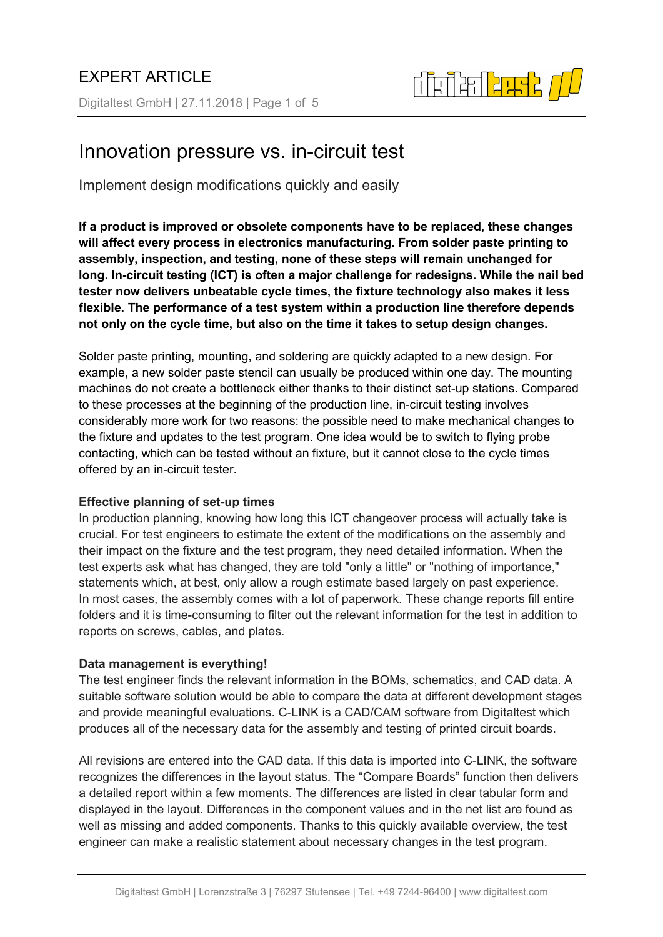Digitaltest GmbH | 27.11.2018 | Page 1 of 5



# Innovation pressure vs. in-circuit test

Implement design modifications quickly and easily

**If a product is improved or obsolete components have to be replaced, these changes will affect every process in electronics manufacturing. From solder paste printing to assembly, inspection, and testing, none of these steps will remain unchanged for long. In-circuit testing (ICT) is often a major challenge for redesigns. While the nail bed tester now delivers unbeatable cycle times, the fixture technology also makes it less flexible. The performance of a test system within a production line therefore depends not only on the cycle time, but also on the time it takes to setup design changes.**

Solder paste printing, mounting, and soldering are quickly adapted to a new design. For example, a new solder paste stencil can usually be produced within one day. The mounting machines do not create a bottleneck either thanks to their distinct set-up stations. Compared to these processes at the beginning of the production line, in-circuit testing involves considerably more work for two reasons: the possible need to make mechanical changes to the fixture and updates to the test program. One idea would be to switch to flying probe contacting, which can be tested without an fixture, but it cannot close to the cycle times offered by an in-circuit tester.

## **Effective planning of set-up times**

In production planning, knowing how long this ICT changeover process will actually take is crucial. For test engineers to estimate the extent of the modifications on the assembly and their impact on the fixture and the test program, they need detailed information. When the test experts ask what has changed, they are told "only a little" or "nothing of importance," statements which, at best, only allow a rough estimate based largely on past experience. In most cases, the assembly comes with a lot of paperwork. These change reports fill entire folders and it is time-consuming to filter out the relevant information for the test in addition to reports on screws, cables, and plates.

## **Data management is everything!**

The test engineer finds the relevant information in the BOMs, schematics, and CAD data. A suitable software solution would be able to compare the data at different development stages and provide meaningful evaluations. C-LINK is a CAD/CAM software from Digitaltest which produces all of the necessary data for the assembly and testing of printed circuit boards.

All revisions are entered into the CAD data. If this data is imported into C-LINK, the software recognizes the differences in the layout status. The "Compare Boards" function then delivers a detailed report within a few moments. The differences are listed in clear tabular form and displayed in the layout. Differences in the component values and in the net list are found as well as missing and added components. Thanks to this quickly available overview, the test engineer can make a realistic statement about necessary changes in the test program.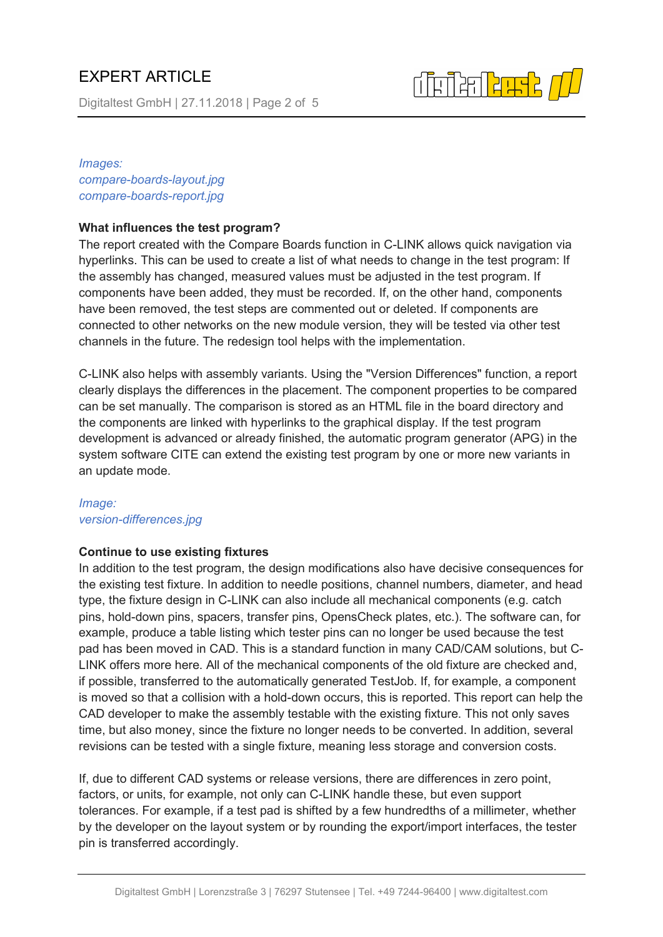Digitaltest GmbH | 27.11.2018 | Page 2 of 5

# 

## *Images: compare-boards-layout.jpg compare-boards-report.jpg*

# **What influences the test program?**

The report created with the Compare Boards function in C-LINK allows quick navigation via hyperlinks. This can be used to create a list of what needs to change in the test program: If the assembly has changed, measured values must be adjusted in the test program. If components have been added, they must be recorded. If, on the other hand, components have been removed, the test steps are commented out or deleted. If components are connected to other networks on the new module version, they will be tested via other test channels in the future. The redesign tool helps with the implementation.

C-LINK also helps with assembly variants. Using the "Version Differences" function, a report clearly displays the differences in the placement. The component properties to be compared can be set manually. The comparison is stored as an HTML file in the board directory and the components are linked with hyperlinks to the graphical display. If the test program development is advanced or already finished, the automatic program generator (APG) in the system software CITE can extend the existing test program by one or more new variants in an update mode.

# *Image: version-differences.jpg*

## **Continue to use existing fixtures**

In addition to the test program, the design modifications also have decisive consequences for the existing test fixture. In addition to needle positions, channel numbers, diameter, and head type, the fixture design in C-LINK can also include all mechanical components (e.g. catch pins, hold-down pins, spacers, transfer pins, OpensCheck plates, etc.). The software can, for example, produce a table listing which tester pins can no longer be used because the test pad has been moved in CAD. This is a standard function in many CAD/CAM solutions, but C-LINK offers more here. All of the mechanical components of the old fixture are checked and, if possible, transferred to the automatically generated TestJob. If, for example, a component is moved so that a collision with a hold-down occurs, this is reported. This report can help the CAD developer to make the assembly testable with the existing fixture. This not only saves time, but also money, since the fixture no longer needs to be converted. In addition, several revisions can be tested with a single fixture, meaning less storage and conversion costs.

If, due to different CAD systems or release versions, there are differences in zero point, factors, or units, for example, not only can C-LINK handle these, but even support tolerances. For example, if a test pad is shifted by a few hundredths of a millimeter, whether by the developer on the layout system or by rounding the export/import interfaces, the tester pin is transferred accordingly.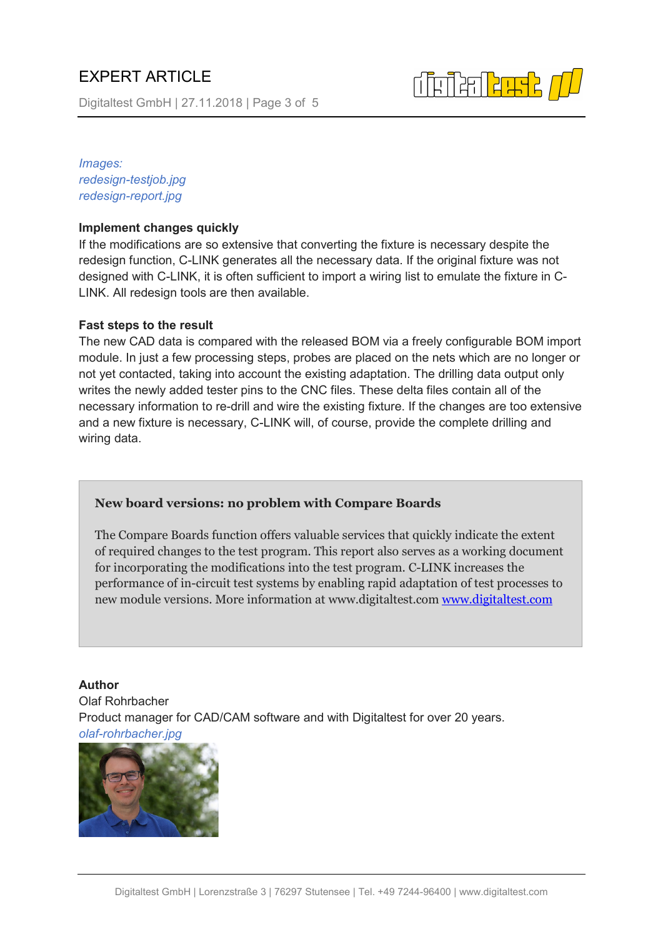Digitaltest GmbH | 27.11.2018 | Page 3 of 5

┲╗╞╝<mark>╘╚╈</mark>

*Images: redesign-testjob.jpg redesign-report.jpg*

#### **Implement changes quickly**

If the modifications are so extensive that converting the fixture is necessary despite the redesign function, C-LINK generates all the necessary data. If the original fixture was not designed with C-LINK, it is often sufficient to import a wiring list to emulate the fixture in C-LINK. All redesign tools are then available.

#### **Fast steps to the result**

The new CAD data is compared with the released BOM via a freely configurable BOM import module. In just a few processing steps, probes are placed on the nets which are no longer or not yet contacted, taking into account the existing adaptation. The drilling data output only writes the newly added tester pins to the CNC files. These delta files contain all of the necessary information to re-drill and wire the existing fixture. If the changes are too extensive and a new fixture is necessary, C-LINK will, of course, provide the complete drilling and wiring data.

#### **New board versions: no problem with Compare Boards**

The Compare Boards function offers valuable services that quickly indicate the extent of required changes to the test program. This report also serves as a working document for incorporating the modifications into the test program. C-LINK increases the performance of in-circuit test systems by enabling rapid adaptation of test processes to new module versions. More information at www.digitaltest.com [www.digitaltest.com](http://www.digitaltest.com/)

**Author** Olaf Rohrbacher Product manager for CAD/CAM software and with Digitaltest for over 20 years. *olaf-rohrbacher.jpg*

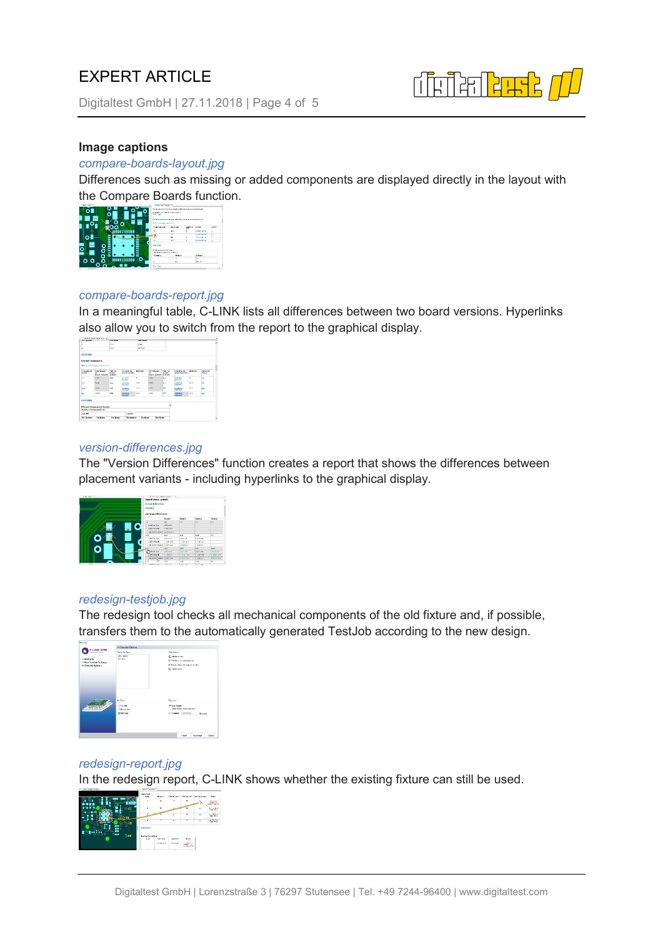Digitaltest GmbH | 27.11.2018 | Page 4 of 5



### **Image captions**

#### *compare-boards-layout.jpg*

Differences such as missing or added components are displayed directly in the layout with the Compare Boards function.



#### *compare-boards-report.jpg*

In a meaningful table, C-LINK lists all differences between two board versions. Hyperlinks also allow you to switch from the report to the graphical display.



#### *version-differences.jpg*

The "Version Differences" function creates a report that shows the differences between placement variants - including hyperlinks to the graphical display.

| <b>WARTHWAY AT</b> | to P. Southern Manual Andrew A. |                      |                    |                   |                   |  |  |
|--------------------|---------------------------------|----------------------|--------------------|-------------------|-------------------|--|--|
|                    | <b>Geard Name: webship</b>      |                      |                    |                   |                   |  |  |
|                    |                                 | Western Billeringers |                    |                   |                   |  |  |
|                    | Materials                       |                      |                    |                   |                   |  |  |
|                    |                                 |                      |                    |                   |                   |  |  |
|                    | Mondan Officences               |                      |                    |                   |                   |  |  |
|                    |                                 | Poster 2             | <b>National Co</b> | <b>Taraka</b>     | <b>Statement</b>  |  |  |
|                    | <b>AN</b>                       | Mar.                 | ×.                 | <b>Seattle</b>    | pic.              |  |  |
|                    | SHOW: NOT                       | somether             |                    |                   |                   |  |  |
|                    | <b>SANYOR MORE</b>              | A WY MA              |                    |                   |                   |  |  |
|                    | <b>MANUFERNIE ALBUM ALL</b>     |                      |                    |                   |                   |  |  |
|                    | <b>SAF</b>                      | <b>Dist</b>          | as.                | <b>DOM</b>        | W.                |  |  |
|                    | Cadron now                      | COMMITTEE            | College Str.       | <b>Carture</b>    |                   |  |  |
|                    | <b>CASTOR MORE</b>              | Clark Street         | 5.229.205          | 5.12.25           |                   |  |  |
|                    | 100 MARCH HARMAN, LA PACIFIC    |                      | Ludwights.         | <b>CASTILLE</b>   |                   |  |  |
| ÷                  |                                 | <b>DATE</b>          | page.              | ne.               | <b>FRIDA</b>      |  |  |
|                    | <b>Service new</b>              | LOAN LINE            | <b>STARTLINE</b>   | <b>STATE CAR</b>  | <b>AMMARIA</b>    |  |  |
|                    | L'annout and a                  | <b>NORTH</b>         | 1. A.M. 174        | <b>K. AVR LPS</b> | A. LALE LITE      |  |  |
|                    | MANER/OWNER LARRYAN             |                      | <b>XXX XXX</b>     | <b>LOCATION</b>   | <b>KINDRATERS</b> |  |  |
|                    | Corp.<br>٠                      | $-1$                 | $\overline{a}$     | $\overline{a}$    | <b>WW</b>         |  |  |
| -                  | a better and                    | 1044-014             | <b>CARD LES</b>    | <b>Distances</b>  |                   |  |  |

#### *redesign-testjob.jpg*

The redesign tool checks all mechanical components of the old fixture and, if possible, transfers them to the automatically generated TestJob according to the new design.



## *redesign-report.jpg*

In the redesign report, C-LINK shows whether the existing fixture can still be used.

|                                    | <b>THE REAL</b><br><b>Links</b><br>×    | <b>Burnet</b><br>٠ | 532<br>$\overline{1}$ | <b><i><u>Change of F</u></i></b><br>$\mathbf{x}$ | <b>Convert</b> | <b>Bank</b><br><b>British</b><br><b>Kram: 181</b><br><b>WARN FLAM LINE</b> |
|------------------------------------|-----------------------------------------|--------------------|-----------------------|--------------------------------------------------|----------------|----------------------------------------------------------------------------|
|                                    | ٠                                       |                    |                       | ٠                                                | ×              | <b>Contact Ave 8</b><br><b>STATISTICS</b>                                  |
| ۰                                  |                                         |                    | $\overline{ }$        | v                                                | u              | <b>Contact of</b><br><b>COMPANY</b>                                        |
| $\alpha$<br>۵<br>ò                 | ٠                                       | ٠                  | $\bullet$             | ٠                                                | <b>A</b>       | $-200$                                                                     |
| a.<br>n<br>ó<br>۰<br>$-58$<br>6.44 | <b>NORTHERN</b><br><b>Salvadord for</b> |                    |                       |                                                  |                |                                                                            |
|                                    | <b>Note</b>                             | <b>San Scott</b>   | <b>Box San</b>        | <b>Boxer</b>                                     |                |                                                                            |
|                                    | ×                                       | <b>Contract</b>    | Foot at               | <b>Service</b>                                   |                |                                                                            |
|                                    | ٠                                       | $-11111$           | 1.111                 | $\sim$<br>$\sim$                                 |                |                                                                            |